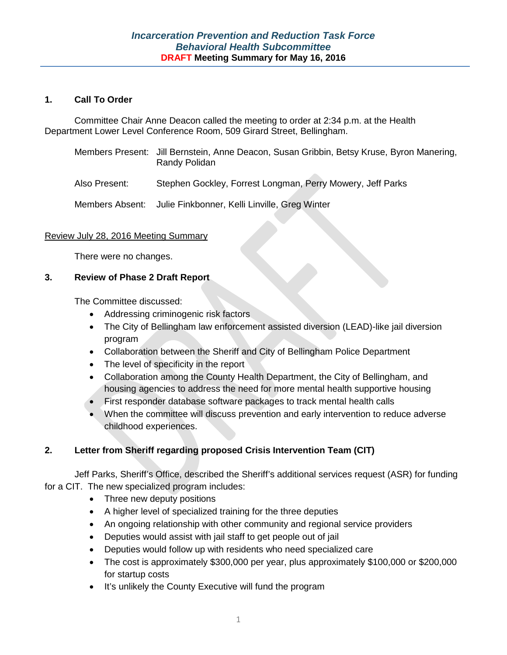# **1. Call To Order**

Committee Chair Anne Deacon called the meeting to order at 2:34 p.m. at the Health Department Lower Level Conference Room, 509 Girard Street, Bellingham.

- Members Present: Jill Bernstein, Anne Deacon, Susan Gribbin, Betsy Kruse, Byron Manering, Randy Polidan
- Also Present: Stephen Gockley, Forrest Longman, Perry Mowery, Jeff Parks

Members Absent: Julie Finkbonner, Kelli Linville, Greg Winter

# Review July 28, 2016 Meeting Summary

There were no changes.

# **3. Review of Phase 2 Draft Report**

The Committee discussed:

- Addressing criminogenic risk factors
- The City of Bellingham law enforcement assisted diversion (LEAD)-like jail diversion program
- Collaboration between the Sheriff and City of Bellingham Police Department
- The level of specificity in the report
- Collaboration among the County Health Department, the City of Bellingham, and housing agencies to address the need for more mental health supportive housing
- First responder database software packages to track mental health calls
- When the committee will discuss prevention and early intervention to reduce adverse childhood experiences.

# **2. Letter from Sheriff regarding proposed Crisis Intervention Team (CIT)**

Jeff Parks, Sheriff's Office, described the Sheriff's additional services request (ASR) for funding for a CIT. The new specialized program includes:

- Three new deputy positions
- A higher level of specialized training for the three deputies
- An ongoing relationship with other community and regional service providers
- Deputies would assist with jail staff to get people out of jail
- Deputies would follow up with residents who need specialized care
- The cost is approximately \$300,000 per year, plus approximately \$100,000 or \$200,000 for startup costs
- It's unlikely the County Executive will fund the program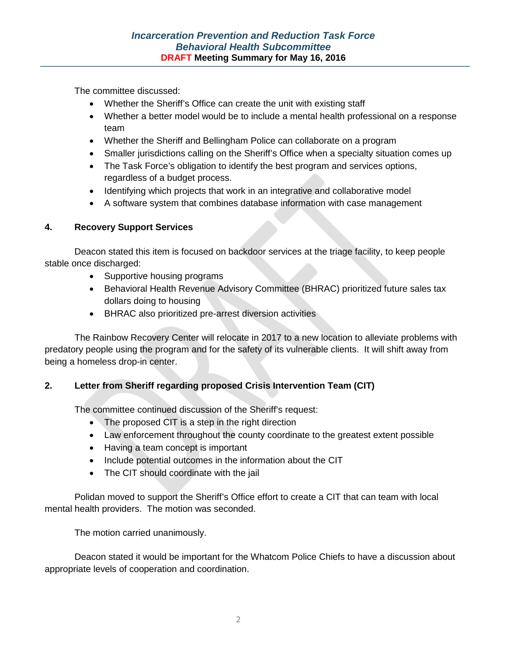The committee discussed:

- Whether the Sheriff's Office can create the unit with existing staff
- Whether a better model would be to include a mental health professional on a response team
- Whether the Sheriff and Bellingham Police can collaborate on a program
- Smaller jurisdictions calling on the Sheriff's Office when a specialty situation comes up
- The Task Force's obligation to identify the best program and services options, regardless of a budget process.
- Identifying which projects that work in an integrative and collaborative model
- A software system that combines database information with case management

# **4. Recovery Support Services**

Deacon stated this item is focused on backdoor services at the triage facility, to keep people stable once discharged:

- Supportive housing programs
- Behavioral Health Revenue Advisory Committee (BHRAC) prioritized future sales tax dollars doing to housing
- BHRAC also prioritized pre-arrest diversion activities

The Rainbow Recovery Center will relocate in 2017 to a new location to alleviate problems with predatory people using the program and for the safety of its vulnerable clients. It will shift away from being a homeless drop-in center.

# **2. Letter from Sheriff regarding proposed Crisis Intervention Team (CIT)**

The committee continued discussion of the Sheriff's request:

- The proposed CIT is a step in the right direction
- Law enforcement throughout the county coordinate to the greatest extent possible
- Having a team concept is important
- Include potential outcomes in the information about the CIT
- The CIT should coordinate with the jail

Polidan moved to support the Sheriff's Office effort to create a CIT that can team with local mental health providers. The motion was seconded.

The motion carried unanimously.

Deacon stated it would be important for the Whatcom Police Chiefs to have a discussion about appropriate levels of cooperation and coordination.